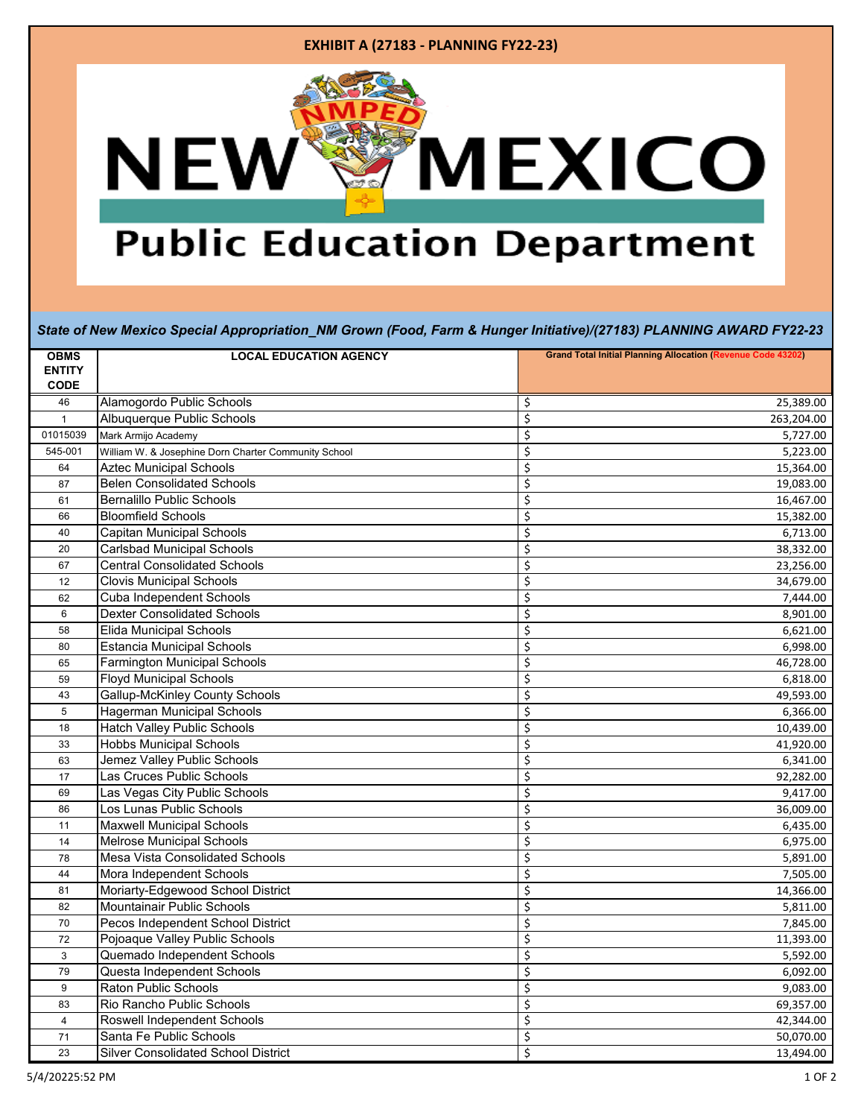### **EXHIBIT A (27183 - PLANNING FY22-23)**



# **Public Education Department**

#### *State of New Mexico Special Appropriation\_NM Grown (Food, Farm & Hunger Initiative)/(27183) PLANNING AWARD FY22-23*

| <b>OBMS</b>   | <b>LOCAL EDUCATION AGENCY</b>                        | <b>Grand Total Initial Planning Allocation (Revenue Code 43202)</b> |
|---------------|------------------------------------------------------|---------------------------------------------------------------------|
| <b>ENTITY</b> |                                                      |                                                                     |
| <b>CODE</b>   |                                                      |                                                                     |
| 46            | Alamogordo Public Schools                            | \$<br>25,389.00                                                     |
| $\mathbf{1}$  | Albuquerque Public Schools                           | \$<br>263,204.00                                                    |
| 01015039      | Mark Armijo Academy                                  | \$<br>5,727.00                                                      |
| 545-001       | William W. & Josephine Dorn Charter Community School | \$<br>5,223.00                                                      |
| 64            | <b>Aztec Municipal Schools</b>                       | \$<br>15,364.00                                                     |
| 87            | <b>Belen Consolidated Schools</b>                    | \$<br>19,083.00                                                     |
| 61            | <b>Bernalillo Public Schools</b>                     | \$<br>16,467.00                                                     |
| 66            | <b>Bloomfield Schools</b>                            | \$<br>15,382.00                                                     |
| 40            | <b>Capitan Municipal Schools</b>                     | \$<br>6,713.00                                                      |
| 20            | <b>Carlsbad Municipal Schools</b>                    | \$<br>38,332.00                                                     |
| 67            | <b>Central Consolidated Schools</b>                  | \$<br>23,256.00                                                     |
| 12            | <b>Clovis Municipal Schools</b>                      | \$<br>34,679.00                                                     |
| 62            | <b>Cuba Independent Schools</b>                      | \$<br>7,444.00                                                      |
| 6             | <b>Dexter Consolidated Schools</b>                   | \$<br>8,901.00                                                      |
| 58            | <b>Elida Municipal Schools</b>                       | \$<br>6,621.00                                                      |
| 80            | <b>Estancia Municipal Schools</b>                    | \$<br>6,998.00                                                      |
| 65            | <b>Farmington Municipal Schools</b>                  | \$<br>46,728.00                                                     |
| 59            | <b>Floyd Municipal Schools</b>                       | \$<br>6,818.00                                                      |
| 43            | <b>Gallup-McKinley County Schools</b>                | \$<br>49,593.00                                                     |
| 5             | <b>Hagerman Municipal Schools</b>                    | \$<br>6,366.00                                                      |
| 18            | <b>Hatch Valley Public Schools</b>                   | \$<br>10,439.00                                                     |
| 33            | <b>Hobbs Municipal Schools</b>                       | \$<br>41,920.00                                                     |
| 63            | Jemez Valley Public Schools                          | \$<br>6,341.00                                                      |
| 17            | Las Cruces Public Schools                            | \$<br>92,282.00                                                     |
| 69            | Las Vegas City Public Schools                        | \$<br>9,417.00                                                      |
| 86            | Los Lunas Public Schools                             | \$<br>36,009.00                                                     |
| 11            | <b>Maxwell Municipal Schools</b>                     | \$<br>6,435.00                                                      |
| 14            | <b>Melrose Municipal Schools</b>                     | \$<br>6,975.00                                                      |
| 78            | Mesa Vista Consolidated Schools                      | \$<br>5,891.00                                                      |
| 44            | Mora Independent Schools                             | \$<br>7,505.00                                                      |
| 81            | Moriarty-Edgewood School District                    | \$<br>14,366.00                                                     |
| 82            | Mountainair Public Schools                           | \$<br>5,811.00                                                      |
| 70            | Pecos Independent School District                    | \$<br>7,845.00                                                      |
| 72            | Pojoaque Valley Public Schools                       | \$<br>11,393.00                                                     |
| 3             | Quemado Independent Schools                          | \$<br>5,592.00                                                      |
| 79            | Questa Independent Schools                           | \$<br>6,092.00                                                      |
| 9             | <b>Raton Public Schools</b>                          | \$<br>9,083.00                                                      |
| 83            | Rio Rancho Public Schools                            | \$<br>69,357.00                                                     |
| 4             | Roswell Independent Schools                          | \$<br>42,344.00                                                     |
| 71            | Santa Fe Public Schools                              | \$<br>50,070.00                                                     |
| 23            | <b>Silver Consolidated School District</b>           | \$<br>13,494.00                                                     |